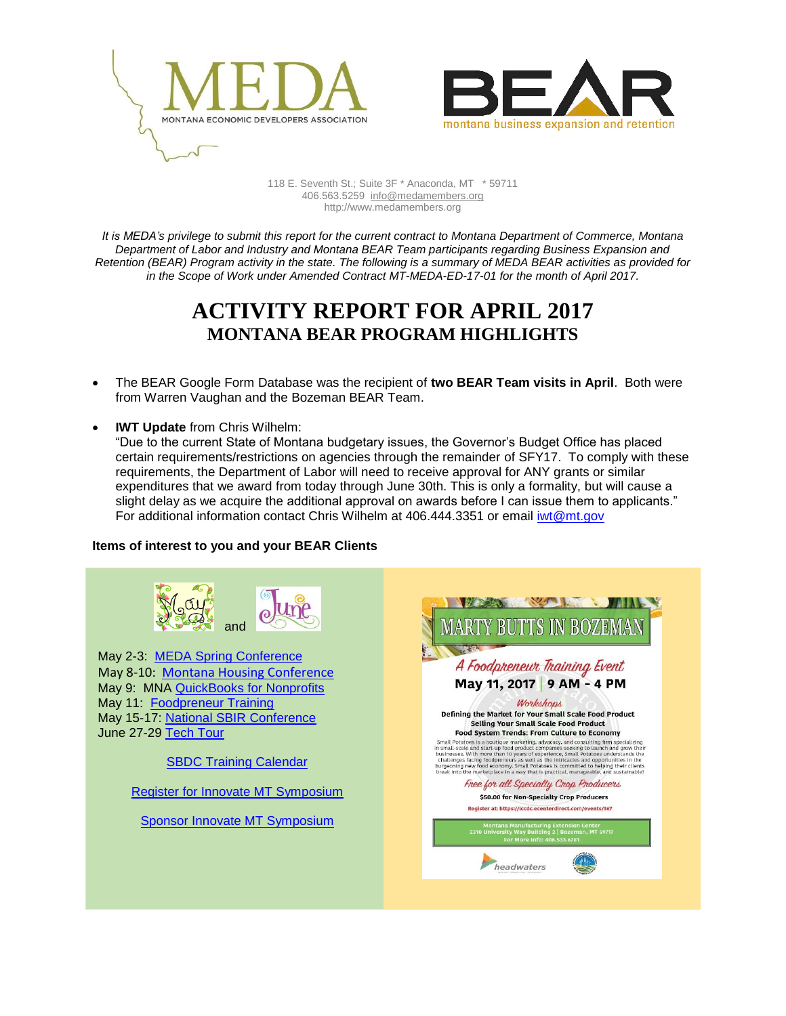



118 E. Seventh St.; Suite 3F \* Anaconda, MT \* 59711 406.563.5259 [info@medamembers.org](mailto:info@medamembers.org) http://www.medamembers.org

*It is MEDA's privilege to submit this report for the current contract to Montana Department of Commerce, Montana Department of Labor and Industry and Montana BEAR Team participants regarding Business Expansion and Retention (BEAR) Program activity in the state. The following is a summary of MEDA BEAR activities as provided for in the Scope of Work under Amended Contract MT-MEDA-ED-17-01 for the month of April 2017.*

## **ACTIVITY REPORT FOR APRIL 2017 MONTANA BEAR PROGRAM HIGHLIGHTS**

- The BEAR Google Form Database was the recipient of **two BEAR Team visits in April**. Both were from Warren Vaughan and the Bozeman BEAR Team.
- **IWT Update** from Chris Wilhelm:

"Due to the current State of Montana budgetary issues, the Governor's Budget Office has placed certain requirements/restrictions on agencies through the remainder of SFY17. To comply with these requirements, the Department of Labor will need to receive approval for ANY grants or similar expenditures that we award from today through June 30th. This is only a formality, but will cause a slight delay as we acquire the additional approval on awards before I can issue them to applicants." For additional information contact Chris Wilhelm at 406.444.3351 or email [iwt@mt.gov](mailto:iwt@mt.gov)

## **Items of interest to you and your BEAR Clients**